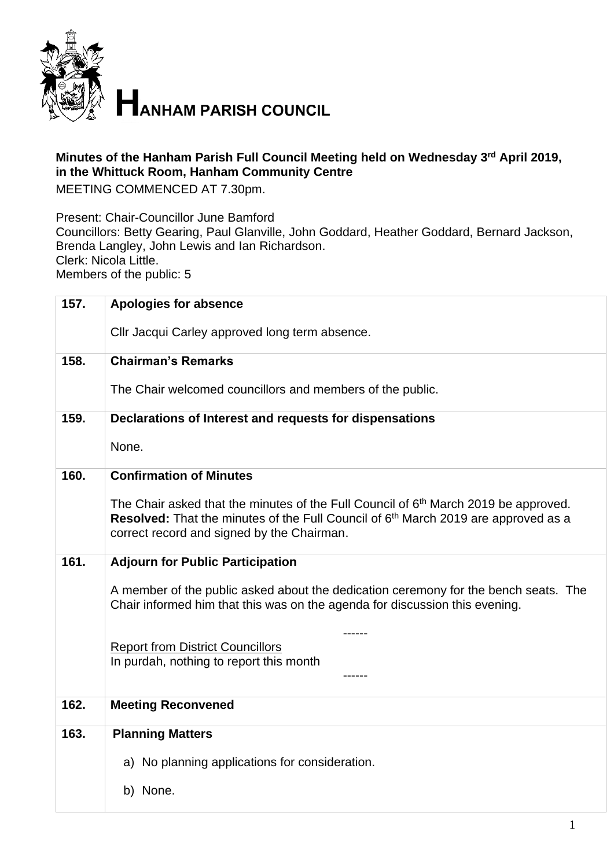

**HANHAM PARISH COUNCIL** 

## **Minutes of the Hanham Parish Full Council Meeting held on Wednesday 3 rd April 2019, in the Whittuck Room, Hanham Community Centre**

MEETING COMMENCED AT 7.30pm.

Present: Chair-Councillor June Bamford

Councillors: Betty Gearing, Paul Glanville, John Goddard, Heather Goddard, Bernard Jackson, Brenda Langley, John Lewis and Ian Richardson. Clerk: Nicola Little.

Members of the public: 5

| 157. | <b>Apologies for absence</b>                                                                                                                                                                                                                           |
|------|--------------------------------------------------------------------------------------------------------------------------------------------------------------------------------------------------------------------------------------------------------|
|      | Cllr Jacqui Carley approved long term absence.                                                                                                                                                                                                         |
| 158. | <b>Chairman's Remarks</b>                                                                                                                                                                                                                              |
|      | The Chair welcomed councillors and members of the public.                                                                                                                                                                                              |
| 159. | Declarations of Interest and requests for dispensations                                                                                                                                                                                                |
|      | None.                                                                                                                                                                                                                                                  |
| 160. | <b>Confirmation of Minutes</b>                                                                                                                                                                                                                         |
|      | The Chair asked that the minutes of the Full Council of 6 <sup>th</sup> March 2019 be approved.<br><b>Resolved:</b> That the minutes of the Full Council of 6 <sup>th</sup> March 2019 are approved as a<br>correct record and signed by the Chairman. |
| 161. | <b>Adjourn for Public Participation</b>                                                                                                                                                                                                                |
|      | A member of the public asked about the dedication ceremony for the bench seats. The<br>Chair informed him that this was on the agenda for discussion this evening.                                                                                     |
|      |                                                                                                                                                                                                                                                        |
|      | <b>Report from District Councillors</b><br>In purdah, nothing to report this month                                                                                                                                                                     |
|      |                                                                                                                                                                                                                                                        |
| 162. | <b>Meeting Reconvened</b>                                                                                                                                                                                                                              |
| 163. | <b>Planning Matters</b>                                                                                                                                                                                                                                |
|      |                                                                                                                                                                                                                                                        |
|      | a) No planning applications for consideration.                                                                                                                                                                                                         |
|      | b) None.                                                                                                                                                                                                                                               |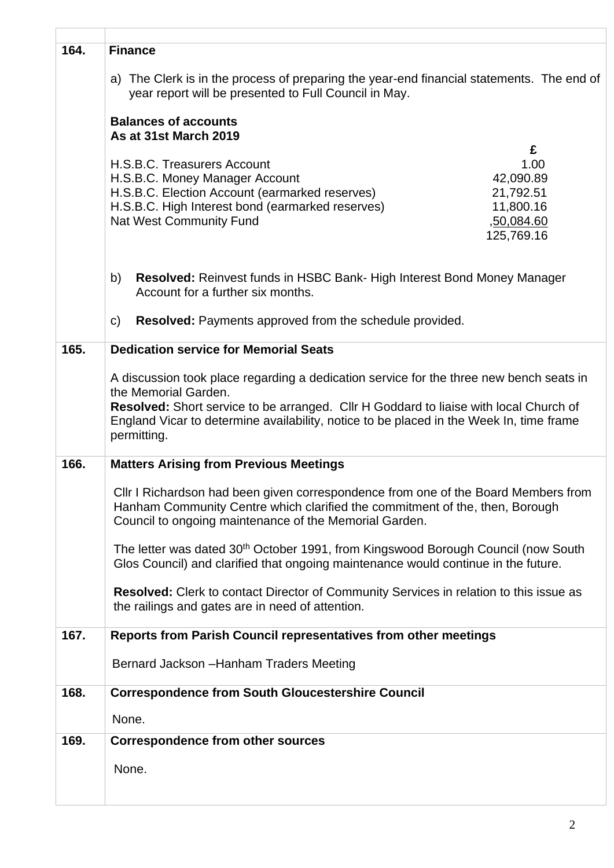| 164. | <b>Finance</b>                                                                                                                                                                                                                                                                                                            |
|------|---------------------------------------------------------------------------------------------------------------------------------------------------------------------------------------------------------------------------------------------------------------------------------------------------------------------------|
|      | a) The Clerk is in the process of preparing the year-end financial statements. The end of<br>year report will be presented to Full Council in May.                                                                                                                                                                        |
|      | <b>Balances of accounts</b><br>As at 31st March 2019                                                                                                                                                                                                                                                                      |
|      | £<br>H.S.B.C. Treasurers Account<br>1.00<br>42,090.89<br>H.S.B.C. Money Manager Account<br>H.S.B.C. Election Account (earmarked reserves)<br>21,792.51<br>H.S.B.C. High Interest bond (earmarked reserves)<br>11,800.16<br><b>Nat West Community Fund</b><br>,50,084.60<br>125,769.16                                     |
|      | b)<br><b>Resolved:</b> Reinvest funds in HSBC Bank- High Interest Bond Money Manager<br>Account for a further six months.                                                                                                                                                                                                 |
|      | Resolved: Payments approved from the schedule provided.<br>$\mathsf{C}$                                                                                                                                                                                                                                                   |
| 165. | <b>Dedication service for Memorial Seats</b>                                                                                                                                                                                                                                                                              |
|      | A discussion took place regarding a dedication service for the three new bench seats in<br>the Memorial Garden.<br><b>Resolved:</b> Short service to be arranged. Cllr H Goddard to liaise with local Church of<br>England Vicar to determine availability, notice to be placed in the Week In, time frame<br>permitting. |
| 166. | <b>Matters Arising from Previous Meetings</b>                                                                                                                                                                                                                                                                             |
|      | CIIr I Richardson had been given correspondence from one of the Board Members from<br>Hanham Community Centre which clarified the commitment of the, then, Borough<br>Council to ongoing maintenance of the Memorial Garden.                                                                                              |
|      | The letter was dated 30 <sup>th</sup> October 1991, from Kingswood Borough Council (now South<br>Glos Council) and clarified that ongoing maintenance would continue in the future.                                                                                                                                       |
|      | <b>Resolved:</b> Clerk to contact Director of Community Services in relation to this issue as<br>the railings and gates are in need of attention.                                                                                                                                                                         |
| 167. | Reports from Parish Council representatives from other meetings                                                                                                                                                                                                                                                           |
|      | Bernard Jackson - Hanham Traders Meeting                                                                                                                                                                                                                                                                                  |
| 168. | <b>Correspondence from South Gloucestershire Council</b>                                                                                                                                                                                                                                                                  |
|      | None.                                                                                                                                                                                                                                                                                                                     |
| 169. | <b>Correspondence from other sources</b>                                                                                                                                                                                                                                                                                  |
|      | None.                                                                                                                                                                                                                                                                                                                     |

 $\overline{1}$